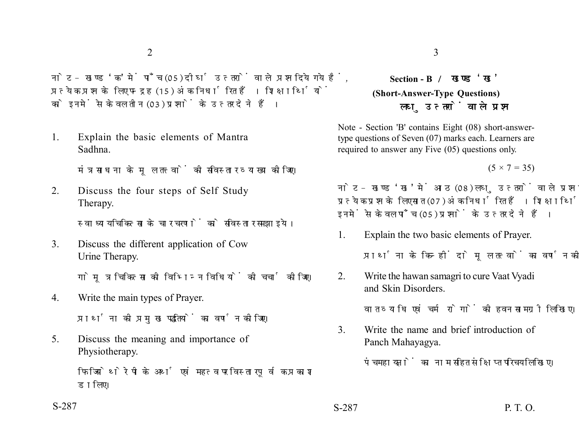नोट- खण्ड 'क' में पाँच (05) दीर्घ उत्तरों वाले प्रश्न दिये गये हैं. प्रत्येक प्रश्न के लिए पन्द्रह (15) अंक निर्धारित हैं। शिक्षार्थियों को इनमें से केवल तीन (03) प्रश्नों के उत्तर देने हैं।

1. Explain the basic elements of Mantra Sadhna.

मंत्र साधना के मल तत्त्वों की सविस्तार व्याख्या कीजिए।

2. Discuss the four steps of Self Study Therapy.

स्वाध्याय चिकित्सा के चार चरणों को सविस्तार समझाइये।

3. Discuss the different application of Cow Urine Therapy.

गोमत्र चिकित्सा की विभिन्न विधियों की चर्चा कीजिए।

4. Write the main types of Prayer.

प्रार्थना की प्रमुख पद्धतियों का वर्णन कीजिए।

5. Discuss the meaning and importance of Physiotherapy.

> फिजियोथेरेपी के अर्थ एवं महत्व पर विस्तारपूर्वक प्रकाश डालिए।

# **Section - B (Short-Answer-Type Questions)** लघ उत्तरों वाले प्रश्न

Note - Section 'B' contains Eight (08) short-answertype questions of Seven (07) marks each. Learners are required to answer any Five (05) questions only.

 $(5 \times 7 = 35)$ 

नोट- खण्ड 'ख' में आठ (08) लघु उत्तरों वाले प्रश्न दिये गये हैं, प्रत्येक प्रश्न के लिए सात (07) अंक निर्धारित हैं। शिक्षार्थियों को इनमें से केवल पाँच (05) प्रश्नों के उत्तर देने हैं।

1. Explain the two basic elements of Prayer.

प्रार्थना के किन्हीं दो मूल तत्वों का वर्णन कीजिए।

2. Write the hawan samagri to cure Vaat Vyadi and Skin Disorders.

वात व्याधि एवं चर्म रोगों की हवन सामग्री लिखिए।

3. Write the name and brief introduction of Panch Mahayagya.

पंचमहायज्ञों का नाम सहित संक्षिप्त परिचय लिखिए।